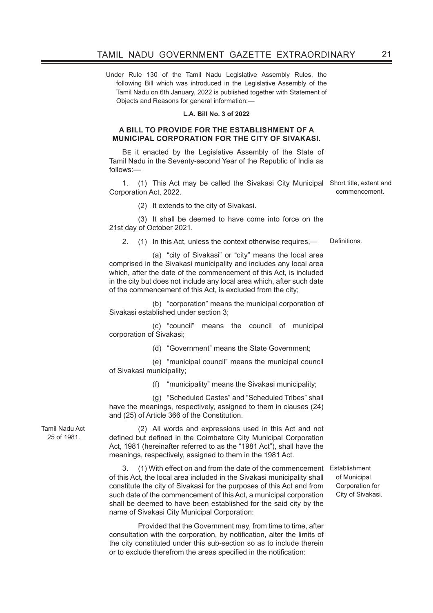Under Rule 130 of the Tamil Nadu Legislative Assembly Rules, the following Bill which was introduced in the Legislative Assembly of the Tamil Nadu on 6th January, 2022 is published together with Statement of Objects and Reasons for general information:—

#### **L.A. Bill No. 3 of 2022**

#### **A BILL TO PROVIDE FOR THE ESTABLISHMENT OF A MUNICIPAL CORPORATION FOR THE CITY OF SIVAKASI.**

Be it enacted by the Legislative Assembly of the State of Tamil Nadu in the Seventy-second Year of the Republic of India as follows:—

1. (1) This Act may be called the Sivakasi City Municipal Short title, extent and Corporation Act, 2022.

(2) It extends to the city of Sivakasi.

(3) It shall be deemed to have come into force on the 21st day of October 2021.

2. (1) In this Act, unless the context otherwise requires,— Definitions.

 (a) "city of Sivakasi" or "city" means the local area comprised in the Sivakasi municipality and includes any local area which, after the date of the commencement of this Act, is included in the city but does not include any local area which, after such date of the commencement of this Act, is excluded from the city;

 (b) "corporation" means the municipal corporation of Sivakasi established under section 3;

 (c) "council" means the council of municipal corporation of Sivakasi;

(d) "Government" means the State Government;

 (e) "municipal council" means the municipal council of Sivakasi municipality;

(f) "municipality" means the Sivakasi municipality;

 (g) "Scheduled Castes" and "Scheduled Tribes" shall have the meanings, respectively, assigned to them in clauses (24) and (25) of Article 366 of the Constitution.

Tamil Nadu Act 25 of 1981.

(2) All words and expressions used in this Act and not defined but defined in the Coimbatore City Municipal Corporation Act, 1981 (hereinafter referred to as the "1981 Act"), shall have the meanings, respectively, assigned to them in the 1981 Act.

3. (1) With effect on and from the date of the commencement Establishment of this Act, the local area included in the Sivakasi municipality shall constitute the city of Sivakasi for the purposes of this Act and from such date of the commencement of this Act, a municipal corporation shall be deemed to have been established for the said city by the name of Sivakasi City Municipal Corporation:

Provided that the Government may, from time to time, after consultation with the corporation, by notification, alter the limits of the city constituted under this sub-section so as to include therein or to exclude therefrom the areas specified in the notification:

of Municipal Corporation for City of Sivakasi.

commencement.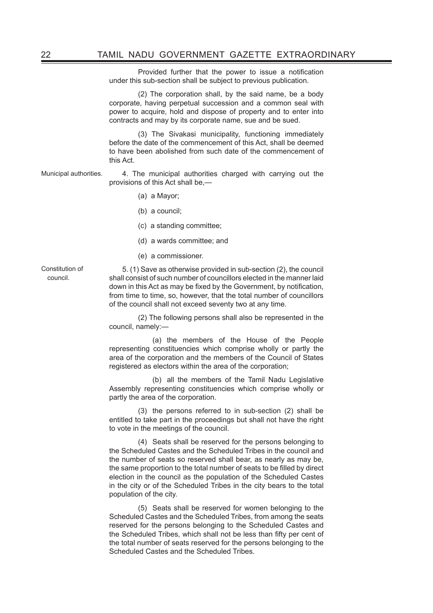Provided further that the power to issue a notification under this sub-section shall be subject to previous publication.

(2) The corporation shall, by the said name, be a body corporate, having perpetual succession and a common seal with power to acquire, hold and dispose of property and to enter into contracts and may by its corporate name, sue and be sued.

(3) The Sivakasi municipality, functioning immediately before the date of the commencement of this Act, shall be deemed to have been abolished from such date of the commencement of this Act.

Municipal authorities. 4. The municipal authorities charged with carrying out the provisions of this Act shall be,—

- (a) a Mayor;
- (b) a council;
- (c) a standing committee;
- (d) a wards committee; and
- (e) a commissioner.

Constitution of council.

5. (1) Save as otherwise provided in sub-section (2), the council shall consist of such number of councillors elected in the manner laid down in this Act as may be fixed by the Government, by notification, from time to time, so, however, that the total number of councillors of the council shall not exceed seventy two at any time.

(2) The following persons shall also be represented in the council, namely:—

 (a) the members of the House of the People representing constituencies which comprise wholly or partly the area of the corporation and the members of the Council of States registered as electors within the area of the corporation;

 (b) all the members of the Tamil Nadu Legislative Assembly representing constituencies which comprise wholly or partly the area of the corporation.

(3) the persons referred to in sub-section (2) shall be entitled to take part in the proceedings but shall not have the right to vote in the meetings of the council.

(4) Seats shall be reserved for the persons belonging to the Scheduled Castes and the Scheduled Tribes in the council and the number of seats so reserved shall bear, as nearly as may be, the same proportion to the total number of seats to be filled by direct election in the council as the population of the Scheduled Castes in the city or of the Scheduled Tribes in the city bears to the total population of the city.

(5) Seats shall be reserved for women belonging to the Scheduled Castes and the Scheduled Tribes, from among the seats reserved for the persons belonging to the Scheduled Castes and the Scheduled Tribes, which shall not be less than fifty per cent of the total number of seats reserved for the persons belonging to the Scheduled Castes and the Scheduled Tribes.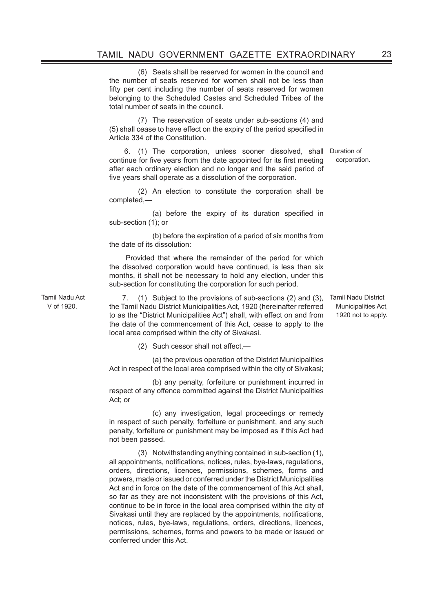(6) Seats shall be reserved for women in the council and the number of seats reserved for women shall not be less than fifty per cent including the number of seats reserved for women belonging to the Scheduled Castes and Scheduled Tribes of the total number of seats in the council.

(7) The reservation of seats under sub-sections (4) and (5) shall cease to have effect on the expiry of the period specified in Article 334 of the Constitution.

 6. (1) The corporation, unless sooner dissolved, shall Duration of continue for five years from the date appointed for its first meeting after each ordinary election and no longer and the said period of five years shall operate as a dissolution of the corporation. corporation.

(2) An election to constitute the corporation shall be completed,—

 (a) before the expiry of its duration specified in sub-section (1); or

 (b) before the expiration of a period of six months from the date of its dissolution:

 Provided that where the remainder of the period for which the dissolved corporation would have continued, is less than six months, it shall not be necessary to hold any election, under this sub-section for constituting the corporation for such period.

Tamil Nadu Act V of 1920.

7. (1) Subject to the provisions of sub-sections (2) and (3), Tamil Nadu District the Tamil Nadu District Municipalities Act, 1920 (hereinafter referred to as the "District Municipalities Act") shall, with effect on and from the date of the commencement of this Act, cease to apply to the local area comprised within the city of Sivakasi.

(2) Such cessor shall not affect,-

 (a) the previous operation of the District Municipalities Act in respect of the local area comprised within the city of Sivakasi;

 (b) any penalty, forfeiture or punishment incurred in respect of any offence committed against the District Municipalities Act; or

 (c) any investigation, legal proceedings or remedy in respect of such penalty, forfeiture or punishment, and any such penalty, forfeiture or punishment may be imposed as if this Act had not been passed.

(3) Notwithstanding anything contained in sub-section (1), all appointments, notifications, notices, rules, bye-laws, regulations, orders, directions, licences, permissions, schemes, forms and powers, made or issued or conferred under the District Municipalities Act and in force on the date of the commencement of this Act shall, so far as they are not inconsistent with the provisions of this Act, continue to be in force in the local area comprised within the city of Sivakasi until they are replaced by the appointments, notifications, notices, rules, bye-laws, regulations, orders, directions, licences, permissions, schemes, forms and powers to be made or issued or conferred under this Act.

Municipalities Act, 1920 not to apply.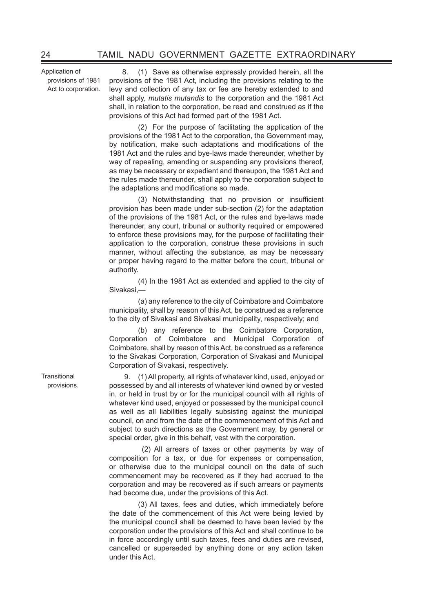Application of provisions of 1981 Act to corporation.

8. (1) Save as otherwise expressly provided herein, all the provisions of the 1981 Act, including the provisions relating to the levy and collection of any tax or fee are hereby extended to and shall apply, *mutatis mutandis* to the corporation and the 1981 Act shall, in relation to the corporation, be read and construed as if the provisions of this Act had formed part of the 1981 Act.

(2) For the purpose of facilitating the application of the provisions of the 1981 Act to the corporation, the Government may, by notification, make such adaptations and modifications of the 1981 Act and the rules and bye-laws made thereunder, whether by way of repealing, amending or suspending any provisions thereof, as may be necessary or expedient and thereupon, the 1981 Act and the rules made thereunder, shall apply to the corporation subject to the adaptations and modifications so made.

 (3) Notwithstanding that no provision or insufficient provision has been made under sub-section (2) for the adaptation of the provisions of the 1981 Act, or the rules and bye-laws made thereunder, any court, tribunal or authority required or empowered to enforce these provisions may, for the purpose of facilitating their application to the corporation, construe these provisions in such manner, without affecting the substance, as may be necessary or proper having regard to the matter before the court, tribunal or authority.

 (4) In the 1981 Act as extended and applied to the city of Sivakasi,—

(a) any reference to the city of Coimbatore and Coimbatore municipality, shall by reason of this Act, be construed as a reference to the city of Sivakasi and Sivakasi municipality, respectively; and

(b) any reference to the Coimbatore Corporation, Corporation of Coimbatore and Municipal Corporation of Coimbatore, shall by reason of this Act, be construed as a reference to the Sivakasi Corporation, Corporation of Sivakasi and Municipal Corporation of Sivakasi, respectively.

9. (1)All property, all rights of whatever kind, used, enjoyed or possessed by and all interests of whatever kind owned by or vested in, or held in trust by or for the municipal council with all rights of whatever kind used, enjoyed or possessed by the municipal council as well as all liabilities legally subsisting against the municipal council, on and from the date of the commencement of this Act and subject to such directions as the Government may, by general or special order, give in this behalf, vest with the corporation.

 (2) All arrears of taxes or other payments by way of composition for a tax, or due for expenses or compensation, or otherwise due to the municipal council on the date of such commencement may be recovered as if they had accrued to the corporation and may be recovered as if such arrears or payments had become due, under the provisions of this Act.

(3) All taxes, fees and duties, which immediately before the date of the commencement of this Act were being levied by the municipal council shall be deemed to have been levied by the corporation under the provisions of this Act and shall continue to be in force accordingly until such taxes, fees and duties are revised, cancelled or superseded by anything done or any action taken under this Act.

**Transitional** provisions.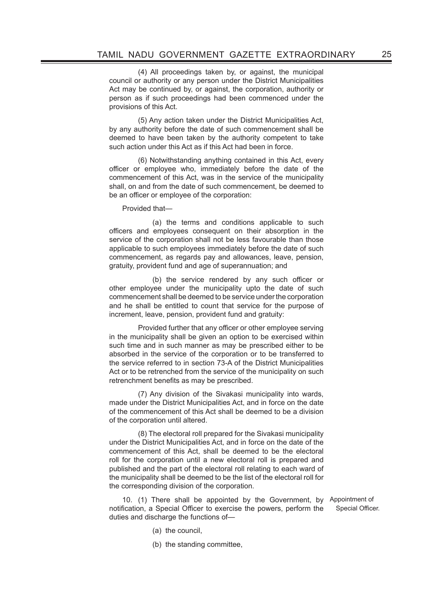(4) All proceedings taken by, or against, the municipal council or authority or any person under the District Municipalities Act may be continued by, or against, the corporation, authority or person as if such proceedings had been commenced under the provisions of this Act.

(5) Any action taken under the District Municipalities Act, by any authority before the date of such commencement shall be deemed to have been taken by the authority competent to take such action under this Act as if this Act had been in force.

(6) Notwithstanding anything contained in this Act, every officer or employee who, immediately before the date of the commencement of this Act, was in the service of the municipality shall, on and from the date of such commencement, be deemed to be an officer or employee of the corporation:

Provided that—

 (a) the terms and conditions applicable to such officers and employees consequent on their absorption in the service of the corporation shall not be less favourable than those applicable to such employees immediately before the date of such commencement, as regards pay and allowances, leave, pension, gratuity, provident fund and age of superannuation; and

 (b) the service rendered by any such officer or other employee under the municipality upto the date of such commencement shall be deemed to be service under the corporation and he shall be entitled to count that service for the purpose of increment, leave, pension, provident fund and gratuity:

 Provided further that any officer or other employee serving in the municipality shall be given an option to be exercised within such time and in such manner as may be prescribed either to be absorbed in the service of the corporation or to be transferred to the service referred to in section 73-A of the District Municipalities Act or to be retrenched from the service of the municipality on such retrenchment benefits as may be prescribed.

(7) Any division of the Sivakasi municipality into wards, made under the District Municipalities Act, and in force on the date of the commencement of this Act shall be deemed to be a division of the corporation until altered.

 (8) The electoral roll prepared for the Sivakasi municipality under the District Municipalities Act, and in force on the date of the commencement of this Act, shall be deemed to be the electoral roll for the corporation until a new electoral roll is prepared and published and the part of the electoral roll relating to each ward of the municipality shall be deemed to be the list of the electoral roll for the corresponding division of the corporation.

10. (1) There shall be appointed by the Government, by Appointment of notification, a Special Officer to exercise the powers, perform the duties and discharge the functions of—

Special Officer.

- (a) the council,
- (b) the standing committee,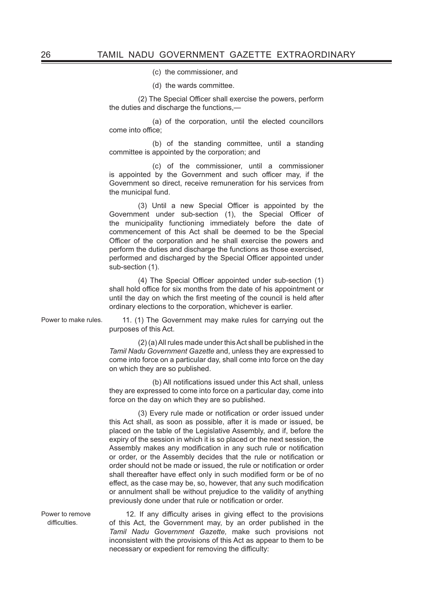(c) the commissioner, and

(d) the wards committee.

 (2) The Special Officer shall exercise the powers, perform the duties and discharge the functions,—

 (a) of the corporation, until the elected councillors come into office;

 (b) of the standing committee, until a standing committee is appointed by the corporation; and

 (c) of the commissioner, until a commissioner is appointed by the Government and such officer may, if the Government so direct, receive remuneration for his services from the municipal fund.

 (3) Until a new Special Officer is appointed by the Government under sub-section (1), the Special Officer of the municipality functioning immediately before the date of commencement of this Act shall be deemed to be the Special Officer of the corporation and he shall exercise the powers and perform the duties and discharge the functions as those exercised, performed and discharged by the Special Officer appointed under sub-section (1).

 (4) The Special Officer appointed under sub-section (1) shall hold office for six months from the date of his appointment or until the day on which the first meeting of the council is held after ordinary elections to the corporation, whichever is earlier.

Power to make rules. 11. (1) The Government may make rules for carrying out the purposes of this Act.

> (2) (a) All rules made under this Act shall be published in the *Tamil Nadu Government Gazette* and, unless they are expressed to come into force on a particular day, shall come into force on the day on which they are so published.

> (b) All notifications issued under this Act shall, unless they are expressed to come into force on a particular day, come into force on the day on which they are so published.

> (3) Every rule made or notification or order issued under this Act shall, as soon as possible, after it is made or issued, be placed on the table of the Legislative Assembly, and if, before the expiry of the session in which it is so placed or the next session, the Assembly makes any modification in any such rule or notification or order, or the Assembly decides that the rule or notification or order should not be made or issued, the rule or notification or order shall thereafter have effect only in such modified form or be of no effect, as the case may be, so, however, that any such modification or annulment shall be without prejudice to the validity of anything previously done under that rule or notification or order.

Power to remove difficulties.

12. If any difficulty arises in giving effect to the provisions of this Act, the Government may, by an order published in the *Tamil Nadu Government Gazette,* make such provisions not inconsistent with the provisions of this Act as appear to them to be necessary or expedient for removing the difficulty: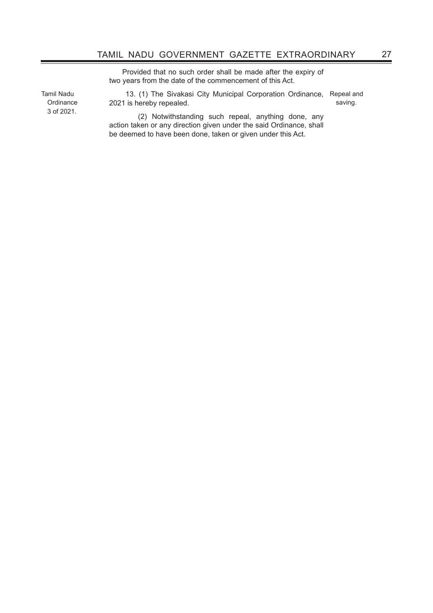Provided that no such order shall be made after the expiry of two years from the date of the commencement of this Act.

Tamil Nadu **Ordinance** 3 of 2021.

 13. (1) The Sivakasi City Municipal Corporation Ordinance, Repeal and 2021 is hereby repealed. saving.

(2) Notwithstanding such repeal, anything done, any action taken or any direction given under the said Ordinance, shall be deemed to have been done, taken or given under this Act.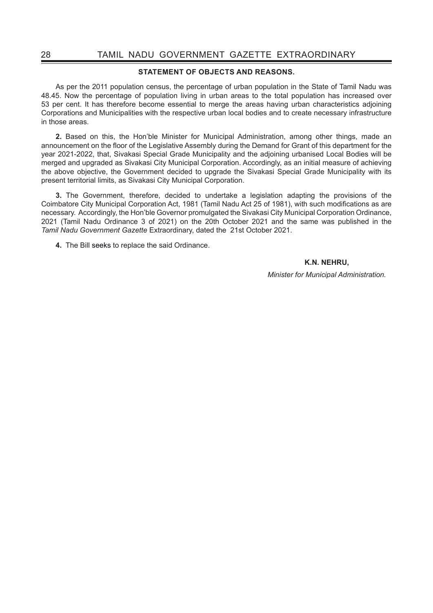#### **STATEMENT OF OBJECTS AND REASONS.**

As per the 2011 population census, the percentage of urban population in the State of Tamil Nadu was 48.45. Now the percentage of population living in urban areas to the total population has increased over 53 per cent. It has therefore become essential to merge the areas having urban characteristics adjoining Corporations and Municipalities with the respective urban local bodies and to create necessary infrastructure in those areas.

**2.** Based on this, the Hon'ble Minister for Municipal Administration, among other things, made an announcement on the floor of the Legislative Assembly during the Demand for Grant of this department for the year 2021-2022, that, Sivakasi Special Grade Municipality and the adjoining urbanised Local Bodies will be merged and upgraded as Sivakasi City Municipal Corporation. Accordingly, as an initial measure of achieving the above objective, the Government decided to upgrade the Sivakasi Special Grade Municipality with its present territorial limits, as Sivakasi City Municipal Corporation.

**3.** The Government, therefore, decided to undertake a legislation adapting the provisions of the Coimbatore City Municipal Corporation Act, 1981 (Tamil Nadu Act 25 of 1981), with such modifications as are necessary. Accordingly, the Hon'ble Governor promulgated the Sivakasi City Municipal Corporation Ordinance, 2021 (Tamil Nadu Ordinance 3 of 2021) on the 20th October 2021 and the same was published in the *Tamil Nadu Government Gazette* Extraordinary, dated the 21st October 2021.

**4.** The Bill seeks to replace the said Ordinance.

## **K.N. NEHRU,**

*Minister for Municipal Administration.*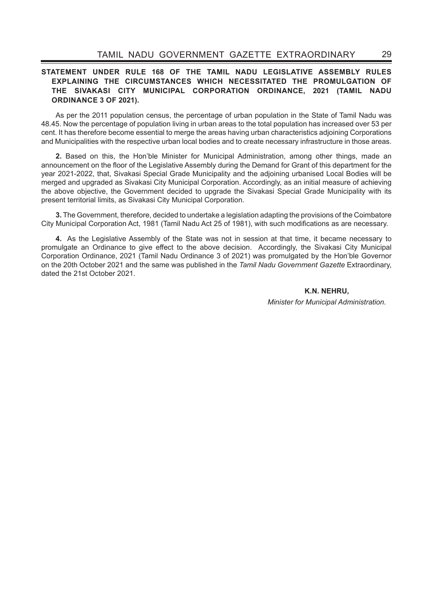## **STATEMENT UNDER RULE 168 OF THE TAMIL NADU LEGISLATIVE ASSEMBLY RULES EXPLAINING THE CIRCUMSTANCES WHICH NECESSITATED THE PROMULGATION OF THE SIVAKASI CITY MUNICIPAL CORPORATION ORDINANCE, 2021 (TAMIL NADU ORDINANCE 3 OF 2021).**

As per the 2011 population census, the percentage of urban population in the State of Tamil Nadu was 48.45. Now the percentage of population living in urban areas to the total population has increased over 53 per cent. It has therefore become essential to merge the areas having urban characteristics adjoining Corporations and Municipalities with the respective urban local bodies and to create necessary infrastructure in those areas.

**2.** Based on this, the Hon'ble Minister for Municipal Administration, among other things, made an announcement on the floor of the Legislative Assembly during the Demand for Grant of this department for the year 2021-2022, that, Sivakasi Special Grade Municipality and the adjoining urbanised Local Bodies will be merged and upgraded as Sivakasi City Municipal Corporation. Accordingly, as an initial measure of achieving the above objective, the Government decided to upgrade the Sivakasi Special Grade Municipality with its present territorial limits, as Sivakasi City Municipal Corporation.

**3.** The Government, therefore, decided to undertake a legislation adapting the provisions of the Coimbatore City Municipal Corporation Act, 1981 (Tamil Nadu Act 25 of 1981), with such modifications as are necessary.

**4.** As the Legislative Assembly of the State was not in session at that time, it became necessary to promulgate an Ordinance to give effect to the above decision. Accordingly, the Sivakasi City Municipal Corporation Ordinance, 2021 (Tamil Nadu Ordinance 3 of 2021) was promulgated by the Hon'ble Governor on the 20th October 2021 and the same was published in the *Tamil Nadu Government Gazette* Extraordinary, dated the 21st October 2021.

> **K.N. NEHRU,** *Minister for Municipal Administration.*